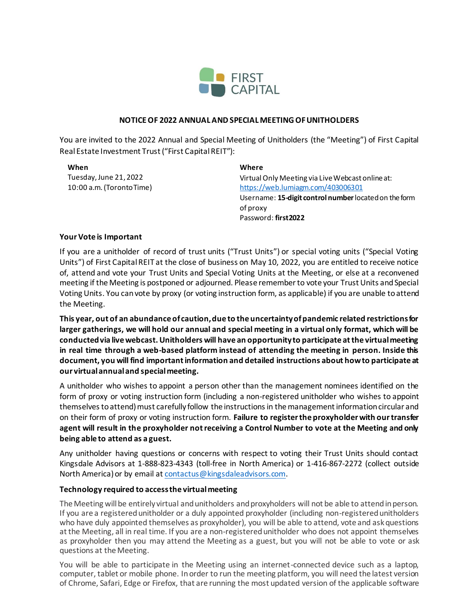

#### **NOTICE OF 2022 ANNUAL AND SPECIAL MEETING OF UNITHOLDERS**

You are invited to the 2022 Annual and Special Meeting of Unitholders (the "Meeting") of First Capital Real Estate Investment Trust ("First Capital REIT"):

**When** Tuesday, June 21, 2022 10:00 a.m. (Toronto Time)

# **Where**

Virtual Only Meeting via Live Webcast online at: <https://web.lumiagm.com/403006301> Username: **15-digit control number**located on the form of proxy Password: **first2022**

### **Your Vote is Important**

If you are a unitholder of record of trust units ("Trust Units") or special voting units ("Special Voting Units") of First Capital REIT at the close of business on May 10, 2022, you are entitled to receive notice of, attend and vote your Trust Units and Special Voting Units at the Meeting, or else at a reconvened meeting if the Meeting is postponed or adjourned. Please remember to vote your Trust Units and Special Voting Units. You can vote by proxy (or voting instruction form, as applicable) if you are unable to attend the Meeting.

**This year, out of an abundance of caution, due to the uncertainty of pandemic related restrictions for larger gatherings, we will hold our annual and special meeting in a virtual only format, which will be conducted via live webcast. Unitholders will have an opportunity to participate at the virtual meeting in real time through a web-based platform instead of attending the meeting in person. Inside this document, you will find important information and detailed instructions about how to participate at our virtual annual and special meeting.**

A unitholder who wishes to appoint a person other than the management nominees identified on the form of proxy or voting instruction form (including a non-registered unitholder who wishes to appoint themselves to attend) must carefully follow the instructions in the management information circular and on their form of proxy or voting instruction form. **Failure to register the proxyholder with our transfer agent will result in the proxyholder not receiving a Control Number to vote at the Meeting and only being able to attend as a guest.**

Any unitholder having questions or concerns with respect to voting their Trust Units should contact Kingsdale Advisors at 1-888-823-4343 (toll-free in North America) or 1-416-867-2272 (collect outside North America) or by email a[t contactus@kingsdaleadvisors.com](mailto:contactus@kingsdaleadvisors.com).

### **Technology required to access the virtual meeting**

The Meeting will be entirely virtual and unitholders and proxyholders will not be able to attend in person. If you are a registered unitholder or a duly appointed proxyholder (including non-registered unitholders who have duly appointed themselves as proxyholder), you will be able to attend, vote and ask questions at the Meeting, all in real time. If you are a non-registered unitholder who does not appoint themselves as proxyholder then you may attend the Meeting as a guest, but you will not be able to vote or ask questions at the Meeting.

You will be able to participate in the Meeting using an internet-connected device such as a laptop, computer, tablet or mobile phone. In order to run the meeting platform, you will need the latest version of Chrome, Safari, Edge or Firefox, that are running the most updated version of the applicable software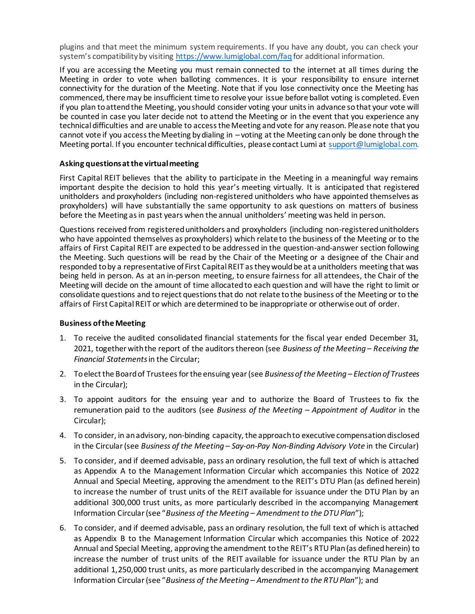plugins and that meet the minimum system requirements. If you have any doubt, you can check your system's compatibility by visiting <https://www.lumiglobal.com/faq> for additional information.

If you are accessing the Meeting you must remain connected to the internet at all times during the Meeting in order to vote when balloting commences. It is your responsibility to ensure internet connectivity for the duration of the Meeting. Note that if you lose connectivity once the Meeting has commenced, there may be insufficient time to resolve your issue before ballot voting is completed. Even if you plan to attend the Meeting, you should consider voting your units in advance so that your vote will be counted in case you later decide not to attend the Meeting or in the event that you experience any technical difficulties and are unable to access the Meeting and vote for any reason. Please note that you cannot vote if you access the Meeting by dialing in – voting at the Meeting can only be done through the Meeting portal. If you encounter technical difficulties, please contact Lumi a[t support@lumiglobal.com.](mailto:support@lumiglobal.com)

### **Asking questions at the virtual meeting**

First Capital REIT believes that the ability to participate in the Meeting in a meaningful way remains important despite the decision to hold this year's meeting virtually. It is anticipated that registered unitholders and proxyholders (including non-registered unitholders who have appointed themselves as proxyholders) will have substantially the same opportunity to ask questions on matters of business before the Meeting as in past years when the annual unitholders' meeting was held in person.

Questions received from registered unitholders and proxyholders (including non-registered unitholders who have appointed themselves as proxyholders) which relate to the business of the Meeting or to the affairs of First Capital REIT are expected to be addressed in the question-and-answer section following the Meeting. Such questions will be read by the Chair of the Meeting or a designee of the Chair and responded to by a representative of First Capital REIT as they would be at a unitholders meeting that was being held in person. As at an in-person meeting, to ensure fairness for all attendees, the Chair of the Meeting will decide on the amount of time allocated to each question and will have the right to limit or consolidate questions and to reject questions that do not relate to the business of the Meeting or to the affairs of First Capital REIT or which are determined to be inappropriate or otherwise out of order.

#### **Business of the Meeting**

- 1. To receive the audited consolidated financial statements for the fiscal year ended December 31, 2021, together with the report of the auditors thereon (see *Business of the Meeting – Receiving the Financial Statements*in the Circular;
- 2. To elect the Board of Trustees for the ensuing year (see *Business of the Meeting – Election of Trustees*  in the Circular);
- 3. To appoint auditors for the ensuing year and to authorize the Board of Trustees to fix the remuneration paid to the auditors (see *Business of the Meeting – Appointment of Auditor* in the Circular);
- 4. To consider, in an advisory, non-binding capacity, the approach to executive compensation disclosed in the Circular (see *Business of the Meeting – Say-on-Pay Non-Binding Advisory Vote* in the Circular)
- 5. To consider, and if deemed advisable, pass an ordinary resolution, the full text of which is attached as Appendix A to the Management Information Circular which accompanies this Notice of 2022 Annual and Special Meeting, approving the amendment to the REIT's DTU Plan (as defined herein) to increase the number of trust units of the REIT available for issuance under the DTU Plan by an additional 300,000 trust units, as more particularly described in the accompanying Management Information Circular (see "*Business of the Meeting – Amendment to the DTU Plan*");
- 6. To consider, and if deemed advisable, pass an ordinary resolution, the full text of which is attached as Appendix B to the Management Information Circular which accompanies this Notice of 2022 Annual and Special Meeting, approving the amendment to the REIT's RTU Plan (as defined herein) to increase the number of trust units of the REIT available for issuance under the RTU Plan by an additional 1,250,000 trust units, as more particularly described in the accompanying Management Information Circular (see "*Business of the Meeting – Amendment to the RTU Plan*"); and